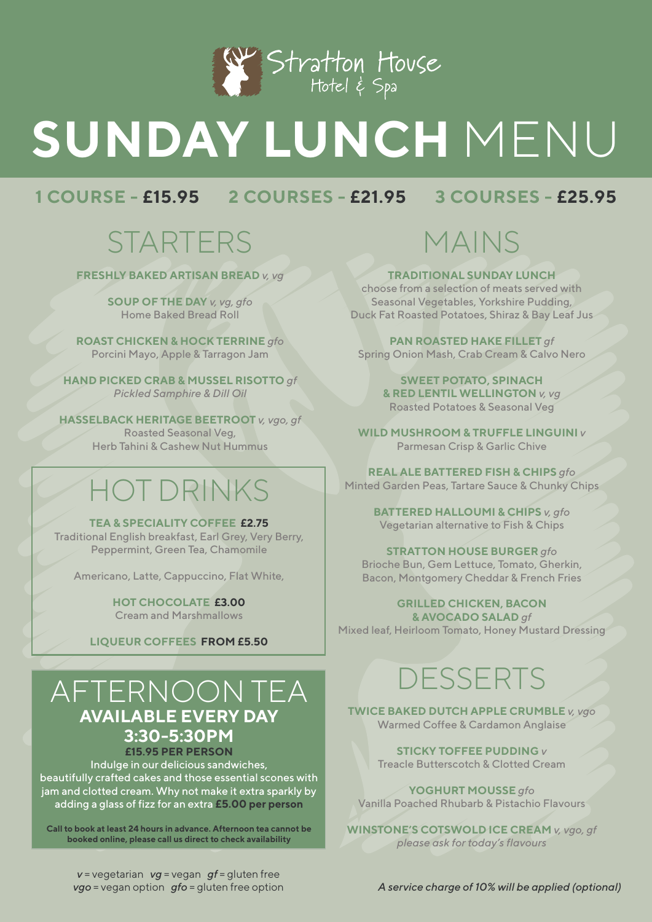

# **SUNDAY LUNCH** MENU

#### **1 COURSE - £15.95 2 COURSES - £21.95 3 COURSES - £25.95**

## **STARTERS**

**FRESHLY BAKED ARTISAN BREAD** *v, vg*

**SOUP OF THE DAY** *v, vg, gfo* Home Baked Bread Roll

**ROAST CHICKEN & HOCK TERRINE** *gfo* Porcini Mayo, Apple & Tarragon Jam

**HAND PICKED CRAB & MUSSEL RISOTTO** *gf Pickled Samphire & Dill Oil*

**HASSELBACK HERITAGE BEETROOT** *v, vgo, gf* Roasted Seasonal Veg, Herb Tahini & Cashew Nut Hummus

# HOT DRINKS

#### **TEA & SPECIALITY COFFEE £2.75**

Traditional English breakfast, Earl Grey, Very Berry, Peppermint, Green Tea, Chamomile

Americano, Latte, Cappuccino, Flat White,

**HOT CHOCOLATE £3.00** Cream and Marshmallows

**LIQUEUR COFFEES FROM £5.50**

#### AFTERNOON TEA **AVAILABLE EVERY DAY 3:30-5:30PM £15.95 PER PERSON**

Indulge in our delicious sandwiches, beautifully crafted cakes and those essential scones with jam and clotted cream. Why not make it extra sparkly by adding a glass of fizz for an extra **£5.00 per person**

**Call to book at least 24 hours in advance. Afternoon tea cannot be booked online, please call us direct to check availability**

MAINS

**TRADITIONAL SUNDAY LUNCH**

choose from a selection of meats served with Seasonal Vegetables, Yorkshire Pudding, Duck Fat Roasted Potatoes, Shiraz & Bay Leaf Jus

**PAN ROASTED HAKE FILLET** *gf* Spring Onion Mash, Crab Cream & Calvo Nero

> **SWEET POTATO, SPINACH & RED LENTIL WELLINGTON** *v, vg* Roasted Potatoes & Seasonal Veg

**WILD MUSHROOM & TRUFFLE LINGUINI** *v* Parmesan Crisp & Garlic Chive

**REAL ALE BATTERED FISH & CHIPS** *gfo* Minted Garden Peas, Tartare Sauce & Chunky Chips

> **BATTERED HALLOUMI & CHIPS** *v, gfo* Vegetarian alternative to Fish & Chips

**STRATTON HOUSE BURGER** *gfo* Brioche Bun, Gem Lettuce, Tomato, Gherkin, Bacon, Montgomery Cheddar & French Fries

**GRILLED CHICKEN, BACON & AVOCADO SALAD** *gf* Mixed leaf, Heirloom Tomato, Honey Mustard Dressing

### DESSERTS

**TWICE BAKED DUTCH APPLE CRUMBLE** *v, vgo* Warmed Coffee & Cardamon Anglaise

> **STICKY TOFFEE PUDDING** *v* Treacle Butterscotch & Clotted Cream

**YOGHURT MOUSSE** *gfo* Vanilla Poached Rhubarb & Pistachio Flavours

**WINSTONE'S COTSWOLD ICE CREAM** *v, vgo, gf please ask for today's flavours* 

*v* = vegetarian *vg* = vegan *gf* = gluten free

*vgo* = vegan option *gfo* = gluten free option *A service charge of 10% will be applied (optional)*